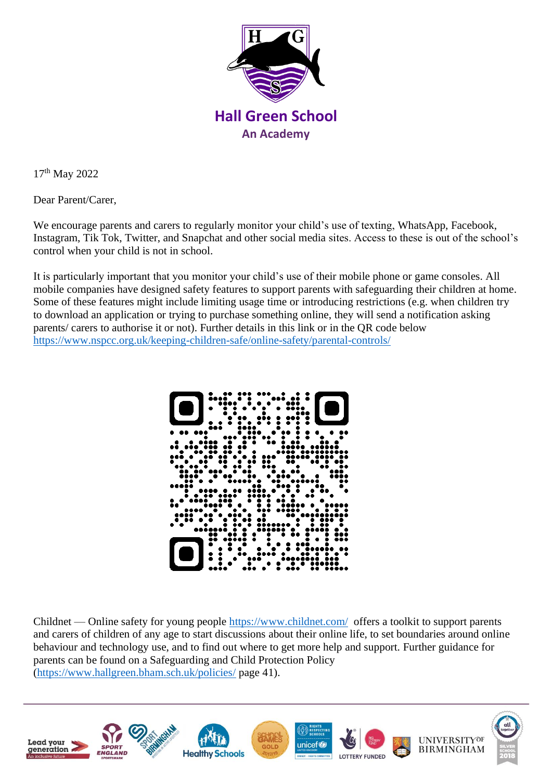

17th May 2022

Dear Parent/Carer,

We encourage parents and carers to regularly monitor your child's use of texting, WhatsApp, Facebook, Instagram, Tik Tok, Twitter, and Snapchat and other social media sites. Access to these is out of the school's control when your child is not in school.

It is particularly important that you monitor your child's use of their mobile phone or game consoles. All mobile companies have designed safety features to support parents with safeguarding their children at home. Some of these features might include limiting usage time or introducing restrictions (e.g. when children try to download an application or trying to purchase something online, they will send a notification asking parents/ carers to authorise it or not). Further details in this link or in the QR code below <https://www.nspcc.org.uk/keeping-children-safe/online-safety/parental-controls/>



Childnet — Online safety for young people<https://www.childnet.com/>offers a toolkit to support parents and carers of children of any age to start discussions about their online life, to set boundaries around online behaviour and technology use, and to find out where to get more help and support. Further guidance for parents can be found on a Safeguarding and Child Protection Policy [\(https://www.hallgreen.bham.sch.uk/policies/](https://www.hallgreen.bham.sch.uk/policies/) page 41).

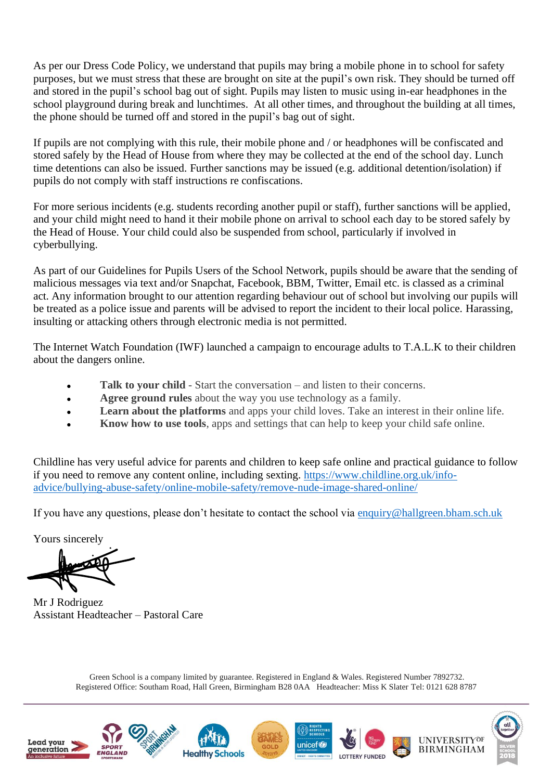As per our Dress Code Policy, we understand that pupils may bring a mobile phone in to school for safety purposes, but we must stress that these are brought on site at the pupil's own risk. They should be turned off and stored in the pupil's school bag out of sight. Pupils may listen to music using in-ear headphones in the school playground during break and lunchtimes. At all other times, and throughout the building at all times, the phone should be turned off and stored in the pupil's bag out of sight.

If pupils are not complying with this rule, their mobile phone and / or headphones will be confiscated and stored safely by the Head of House from where they may be collected at the end of the school day. Lunch time detentions can also be issued. Further sanctions may be issued (e.g. additional detention/isolation) if pupils do not comply with staff instructions re confiscations.

For more serious incidents (e.g. students recording another pupil or staff), further sanctions will be applied, and your child might need to hand it their mobile phone on arrival to school each day to be stored safely by the Head of House. Your child could also be suspended from school, particularly if involved in cyberbullying.

As part of our Guidelines for Pupils Users of the School Network, pupils should be aware that the sending of malicious messages via text and/or Snapchat, Facebook, BBM, Twitter, Email etc. is classed as a criminal act. Any information brought to our attention regarding behaviour out of school but involving our pupils will be treated as a police issue and parents will be advised to report the incident to their local police. Harassing, insulting or attacking others through electronic media is not permitted.

The Internet Watch Foundation (IWF) launched a campaign to encourage adults to T.A.L.K to their children about the dangers online.

- **Talk to your child** Start the conversation and listen to their concerns.
- **Agree ground rules** about the way you use technology as a family.
- **Learn about the platforms** and apps your child loves. Take an interest in their online life.
- **Know how to use tools**, apps and settings that can help to keep your child safe online.

Childline has very useful advice for parents and children to keep safe online and practical guidance to follow if you need to remove any content online, including sexting. [https://www.childline.org.uk/info](https://www.childline.org.uk/info-advice/bullying-abuse-safety/online-mobile-safety/remove-nude-image-shared-online/)[advice/bullying-abuse-safety/online-mobile-safety/remove-nude-image-shared-online/](https://www.childline.org.uk/info-advice/bullying-abuse-safety/online-mobile-safety/remove-nude-image-shared-online/)

If you have any questions, please don't hesitate to contact the school via [enquiry@hallgreen.bham.sch.uk](mailto:enquiry@hallgreen.bham.sch.uk)

Yours sincerely

Mr J Rodriguez Assistant Headteacher – Pastoral Care

Green School is a company limited by guarantee. Registered in England & Wales. Registered Number 7892732. Registered Office: Southam Road, Hall Green, Birmingham B28 0AA Headteacher: Miss K Slater Tel: 0121 628 8787